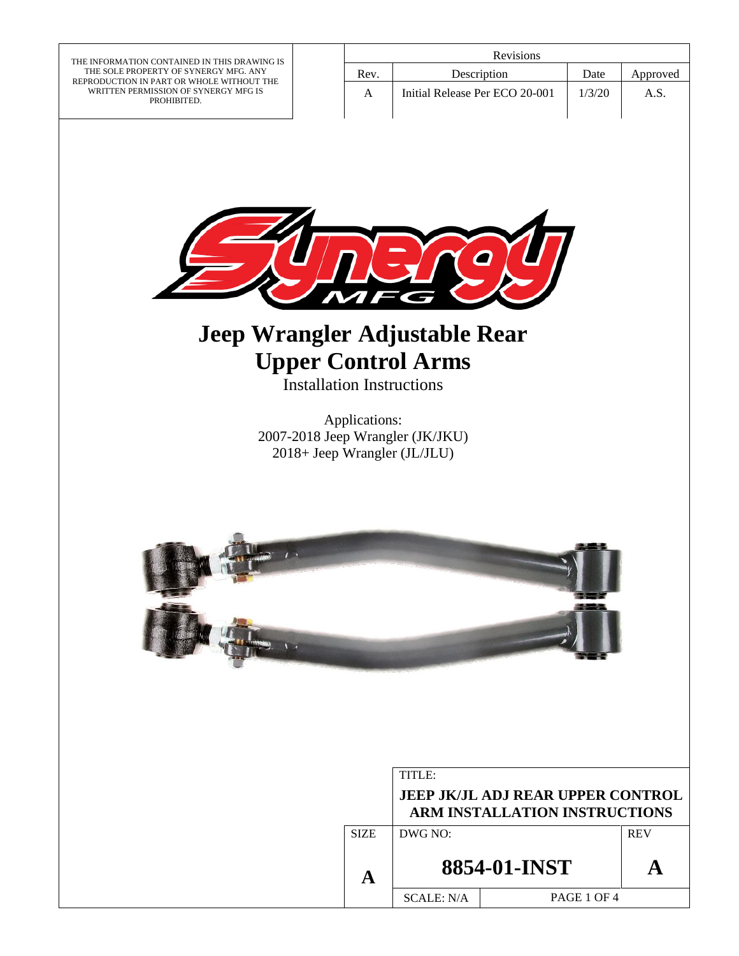THE INFORMATION CONTAINED IN THIS DRAWING IS THE SOLE PROPERTY OF SYNERGY MFG. ANY REPRODUCTION IN PART OR WHOLE WITHOUT THE WRITTEN PERMISSION OF SYNERGY MFG IS PROHIBITED.

| <b>Revisions</b> |                                |        |          |
|------------------|--------------------------------|--------|----------|
| Rev.             | Description                    | Date   | Approved |
| А                | Initial Release Per ECO 20-001 | 1/3/20 | A.S.     |
|                  |                                |        |          |



# **Jeep Wrangler Adjustable Rear Upper Control Arms**

Installation Instructions

Applications: 2007-2018 Jeep Wrangler (JK/JKU) 2018+ Jeep Wrangler (JL/JLU)



|                                                                                  |             | TITLE:                |             |  |
|----------------------------------------------------------------------------------|-------------|-----------------------|-------------|--|
| <b>JEEP JK/JL ADJ REAR UPPER CONTROL</b><br><b>ARM INSTALLATION INSTRUCTIONS</b> |             |                       |             |  |
|                                                                                  | <b>SIZE</b> | DWG NO:<br><b>REV</b> |             |  |
|                                                                                  |             | 8854-01-INST          |             |  |
|                                                                                  |             | <b>SCALE: N/A</b>     | PAGE 1 OF 4 |  |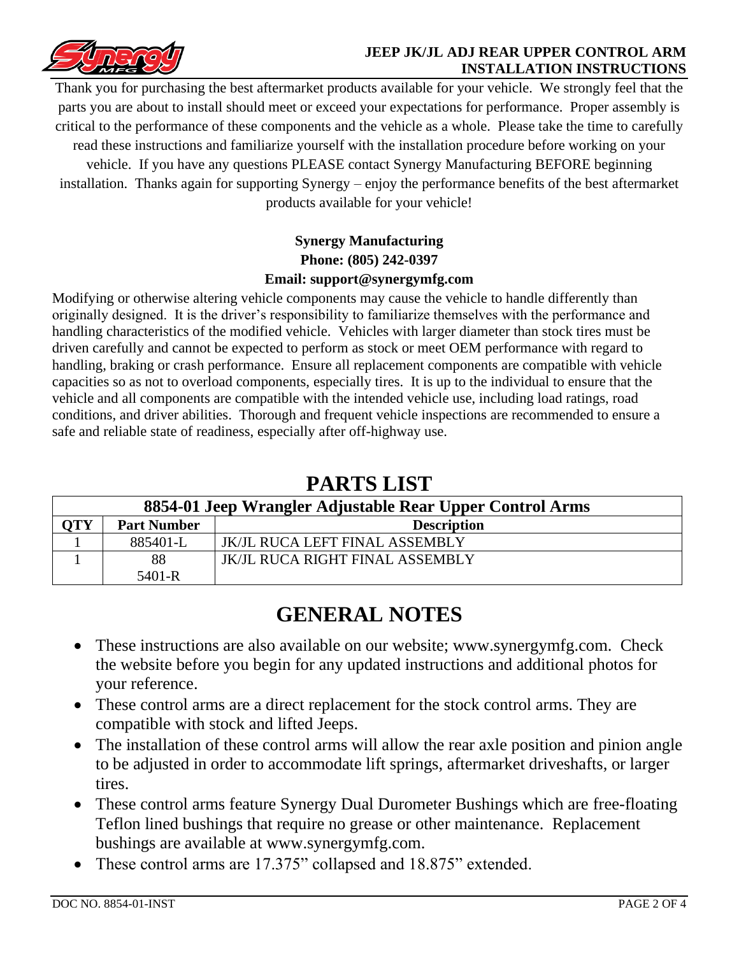

#### **JEEP JK/JL ADJ REAR UPPER CONTROL ARM INSTALLATION INSTRUCTIONS**

Thank you for purchasing the best aftermarket products available for your vehicle. We strongly feel that the parts you are about to install should meet or exceed your expectations for performance. Proper assembly is critical to the performance of these components and the vehicle as a whole. Please take the time to carefully read these instructions and familiarize yourself with the installation procedure before working on your vehicle. If you have any questions PLEASE contact Synergy Manufacturing BEFORE beginning installation. Thanks again for supporting Synergy – enjoy the performance benefits of the best aftermarket products available for your vehicle!

### **Synergy Manufacturing Phone: (805) 242-0397 Email: support@synergymfg.com**

Modifying or otherwise altering vehicle components may cause the vehicle to handle differently than originally designed. It is the driver's responsibility to familiarize themselves with the performance and handling characteristics of the modified vehicle. Vehicles with larger diameter than stock tires must be driven carefully and cannot be expected to perform as stock or meet OEM performance with regard to handling, braking or crash performance. Ensure all replacement components are compatible with vehicle capacities so as not to overload components, especially tires. It is up to the individual to ensure that the vehicle and all components are compatible with the intended vehicle use, including load ratings, road conditions, and driver abilities. Thorough and frequent vehicle inspections are recommended to ensure a safe and reliable state of readiness, especially after off-highway use.

### **PARTS LIST**

| 8854-01 Jeep Wrangler Adjustable Rear Upper Control Arms |                    |                                       |  |
|----------------------------------------------------------|--------------------|---------------------------------------|--|
| <b>OTY</b>                                               | <b>Part Number</b> | <b>Description</b>                    |  |
|                                                          | 885401-L           | <b>JK/JL RUCA LEFT FINAL ASSEMBLY</b> |  |
|                                                          | 88                 | JK/JL RUCA RIGHT FINAL ASSEMBLY       |  |
|                                                          | $5401 - R$         |                                       |  |

## **GENERAL NOTES**

- These instructions are also available on our website; www.synergymfg.com. Check the website before you begin for any updated instructions and additional photos for your reference.
- These control arms are a direct replacement for the stock control arms. They are compatible with stock and lifted Jeeps.
- The installation of these control arms will allow the rear axle position and pinion angle to be adjusted in order to accommodate lift springs, aftermarket driveshafts, or larger tires.
- These control arms feature Synergy Dual Durometer Bushings which are free-floating Teflon lined bushings that require no grease or other maintenance. Replacement bushings are available at www.synergymfg.com.
- These control arms are 17.375" collapsed and 18.875" extended.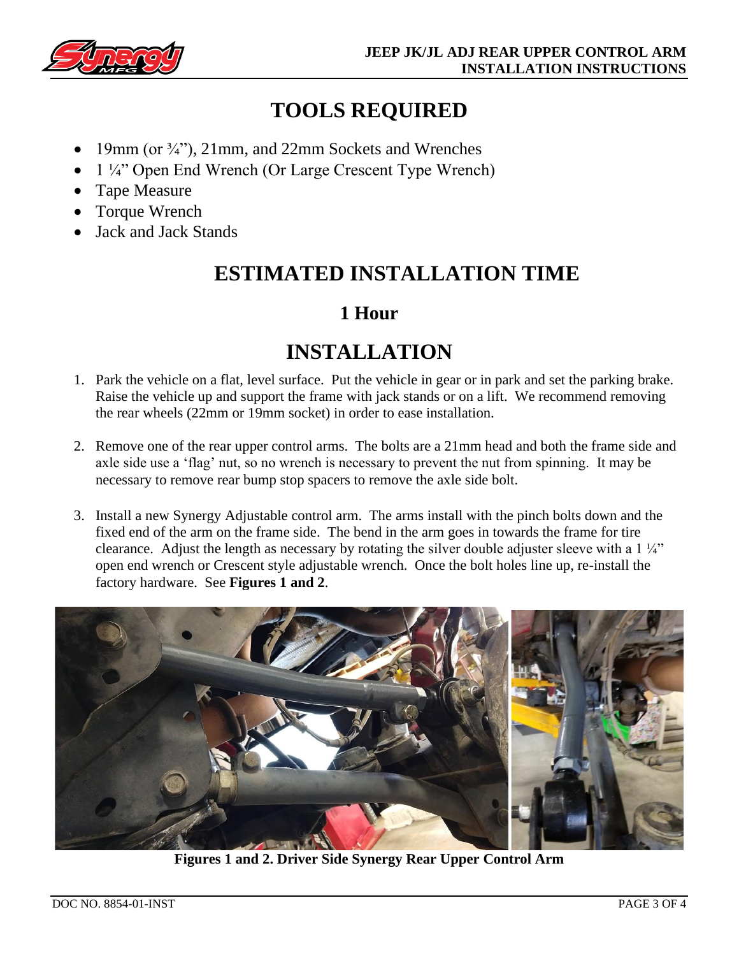

## **TOOLS REQUIRED**

- 19mm (or ¾"), 21mm, and 22mm Sockets and Wrenches
- 1 ¼" Open End Wrench (Or Large Crescent Type Wrench)
- Tape Measure
- Torque Wrench
- Jack and Jack Stands

## **ESTIMATED INSTALLATION TIME**

### **1 Hour**

## **INSTALLATION**

- 1. Park the vehicle on a flat, level surface. Put the vehicle in gear or in park and set the parking brake. Raise the vehicle up and support the frame with jack stands or on a lift. We recommend removing the rear wheels (22mm or 19mm socket) in order to ease installation.
- 2. Remove one of the rear upper control arms. The bolts are a 21mm head and both the frame side and axle side use a 'flag' nut, so no wrench is necessary to prevent the nut from spinning. It may be necessary to remove rear bump stop spacers to remove the axle side bolt.
- 3. Install a new Synergy Adjustable control arm. The arms install with the pinch bolts down and the fixed end of the arm on the frame side. The bend in the arm goes in towards the frame for tire clearance. Adjust the length as necessary by rotating the silver double adjuster sleeve with a 1 ¼" open end wrench or Crescent style adjustable wrench. Once the bolt holes line up, re-install the factory hardware. See **Figures 1 and 2**.



**Figures 1 and 2. Driver Side Synergy Rear Upper Control Arm**